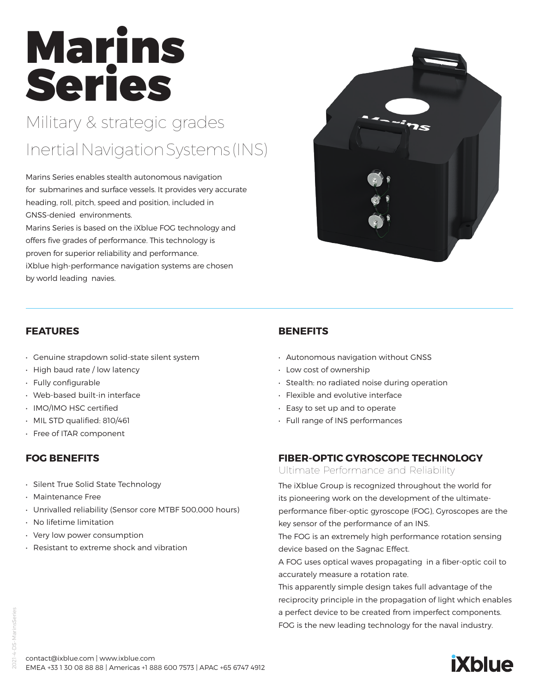# Marins Series

# Military & strategic grades InertialNavigationSystems(INS)

Marins Series enables stealth autonomous navigation for submarines and surface vessels. It provides very accurate heading, roll, pitch, speed and position, included in GNSS-denied environments.

Marins Series is based on the iXblue FOG technology and offers five grades of performance. This technology is proven for superior reliability and performance. iXblue high-performance navigation systems are chosen by world leading navies.

#### **FEATURES**

- Genuine strapdown solid-state silent system
- High baud rate / low latency
- Fully configurable
- Web-based built-in interface
- IMO/IMO HSC certified
- MIL STD qualified: 810/461
- Free of ITAR component

# **FOG BENEFITS**

- Silent True Solid State Technology
- Maintenance Free
- Unrivalled reliability (Sensor core MTBF 500,000 hours)
- No lifetime limitation
- Very low power consumption
- Resistant to extreme shock and vibration

# **BENEFITS**

- Autonomous navigation without GNSS
- Low cost of ownership
- Stealth: no radiated noise during operation
- Flexible and evolutive interface
- Easy to set up and to operate
- Full range of INS performances

# **FIBER-OPTIC GYROSCOPE TECHNOLOGY**

Ultimate Performance and Reliability

The iXblue Group is recognized throughout the world for its pioneering work on the development of the ultimateperformance fiber-optic gyroscope (FOG), Gyroscopes are the key sensor of the performance of an INS.

The FOG is an extremely high performance rotation sensing device based on the Sagnac Effect.

A FOG uses optical waves propagating in a fiber-optic coil to accurately measure a rotation rate.

This apparently simple design takes full advantage of the reciprocity principle in the propagation of light which enables a perfect device to be created from imperfect components. FOG is the new leading technology for the naval industry.







2021-4-DS-MarinsSeries